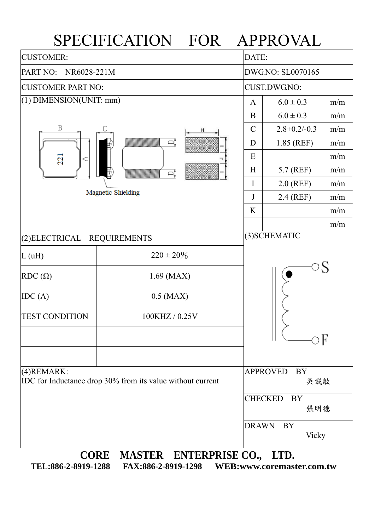## SPECIFICATION FOR APPROVAL

| <b>CUSTOMER:</b>                                                          |                                    |                     | DATE:                       |     |  |  |
|---------------------------------------------------------------------------|------------------------------------|---------------------|-----------------------------|-----|--|--|
| PART NO:<br>NR6028-221M                                                   |                                    |                     | DWG.NO: SL0070165           |     |  |  |
| <b>CUSTOMER PART NO:</b>                                                  |                                    | <b>CUST.DWG.NO:</b> |                             |     |  |  |
| $(1)$ DIMENSION(UNIT: mm)                                                 |                                    |                     | $6.0 \pm 0.3$               | m/m |  |  |
|                                                                           |                                    | B                   | $6.0 \pm 0.3$               | m/m |  |  |
| Β                                                                         | $\mathcal{C}$                      | $2.8 + 0.2 - 0.3$   | m/m                         |     |  |  |
|                                                                           | D                                  | 1.85 (REF)          | m/m                         |     |  |  |
| 221<br>$\triangleleft$                                                    | E                                  |                     | m/m                         |     |  |  |
|                                                                           | H                                  | 5.7 (REF)           | m/m                         |     |  |  |
| Magnetic Shielding                                                        |                                    |                     | $2.0$ (REF)                 | m/m |  |  |
|                                                                           |                                    |                     | 2.4 (REF)                   | m/m |  |  |
|                                                                           |                                    | K                   |                             | m/m |  |  |
|                                                                           |                                    |                     |                             | m/m |  |  |
| (2)ELECTRICAL                                                             | <b>REQUIREMENTS</b>                |                     | (3) SCHEMATIC               |     |  |  |
| L(uH)                                                                     | $220 \pm 20\%$                     |                     |                             |     |  |  |
| $RDC(\Omega)$                                                             | $1.69$ (MAX)                       |                     |                             |     |  |  |
| IDC(A)                                                                    | $0.5$ (MAX)                        |                     |                             |     |  |  |
| <b>TEST CONDITION</b>                                                     |                                    |                     |                             |     |  |  |
|                                                                           |                                    |                     |                             |     |  |  |
|                                                                           |                                    |                     |                             |     |  |  |
|                                                                           |                                    |                     | <b>BY</b>                   |     |  |  |
| (4) REMARK:<br>IDC for Inductance drop 30% from its value without current |                                    |                     | <b>APPROVED</b><br>吳載敏      |     |  |  |
|                                                                           |                                    |                     | <b>CHECKED</b><br><b>BY</b> |     |  |  |
|                                                                           | 張明德<br><b>DRAWN</b><br>BY<br>Vicky |                     |                             |     |  |  |
|                                                                           |                                    |                     |                             |     |  |  |
|                                                                           |                                    |                     |                             |     |  |  |
| <b>CORE</b>                                                               | MASTER ENTERPRISE CO., LTD.        |                     |                             |     |  |  |

**TEL:886-2-8919-1288 FAX:886-2-8919-1298 WEB:www.coremaster.com.tw**